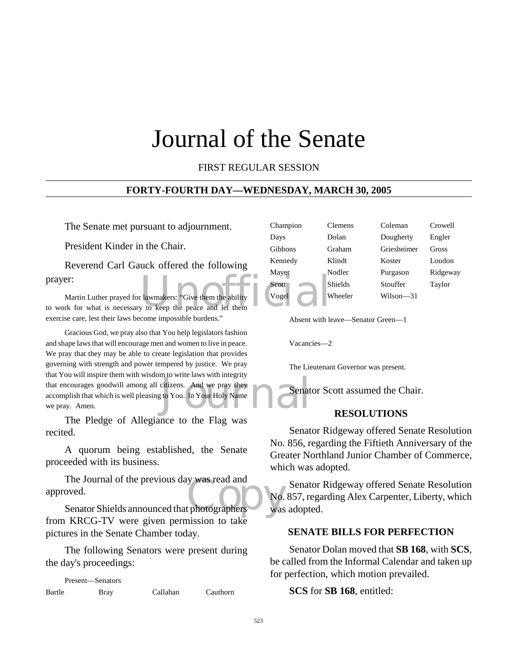# Journal of the Senate

# FIRST REGULAR SESSION

### **FORTY-FOURTH DAY—WEDNESDAY, MARCH 30, 2005**

The Senate met pursuant to adjournment.

President Kinder in the Chair.

Reverend Carl Gauck offered the following prayer:

prayer:<br>
Martin Luther prayed for lawmakers: "Give them the ability<br>
to work for what is necessary to keep the peace and let them Martin Luther prayed for lawmakers: "Give them the ability exercise care, lest their laws become impossible burdens."

The Transition of the Barry Holy Name<br>to You. In Your Holy Name Gracious God, we pray also that You help legislators fashion and shape laws that will encourage men and women to live in peace. We pray that they may be able to create legislation that provides governing with strength and power tempered by justice. We pray that You will inspire them with wisdom to write laws with integrity that encourages goodwill among all citizens. And we pray they accomplish that which is well pleasing to You. In Your Holy Name we pray. Amen.

The Pledge of Allegiance to the Flag was recited.

A quorum being established, the Senate proceeded with its business.

The Journal of the previous day was read and<br>
oved.<br>
Senator Shields announced that photographers was The Journal of the previous day was read and approved.

from KRCG-TV were given permission to take pictures in the Senate Chamber today.

The following Senators were present during the day's proceedings:

Present—Senators Bartle Bray Callahan Cauthorn

| Champion | Clemens        | Coleman     | Crowell  |
|----------|----------------|-------------|----------|
| Days     | Dolan          | Dougherty   | Engler   |
| Gibbons  | Graham         | Griesheimer | Gross    |
| Kennedy  | Klindt         | Koster      | Loudon   |
| Mayer    | Nodler         | Purgason    | Ridgeway |
| Scott    | <b>Shields</b> | Stouffer    | Taylor   |
| Vogel    | Wheeler        | Wilson—31   |          |

Absent with leave—Senator Green—1

Vacancies—2

The Lieutenant Governor was present.

Senator Scott assumed the Chair.

### **RESOLUTIONS**

Senator Ridgeway offered Senate Resolution No. 856, regarding the Fiftieth Anniversary of the Greater Northland Junior Chamber of Commerce, which was adopted.

Senator Ridgeway offered Senate Resolution No. 857, regarding Alex Carpenter, Liberty, which was adopted.

### **SENATE BILLS FOR PERFECTION**

Senator Dolan moved that **SB 168**, with **SCS**, be called from the Informal Calendar and taken up for perfection, which motion prevailed.

**SCS** for **SB 168**, entitled: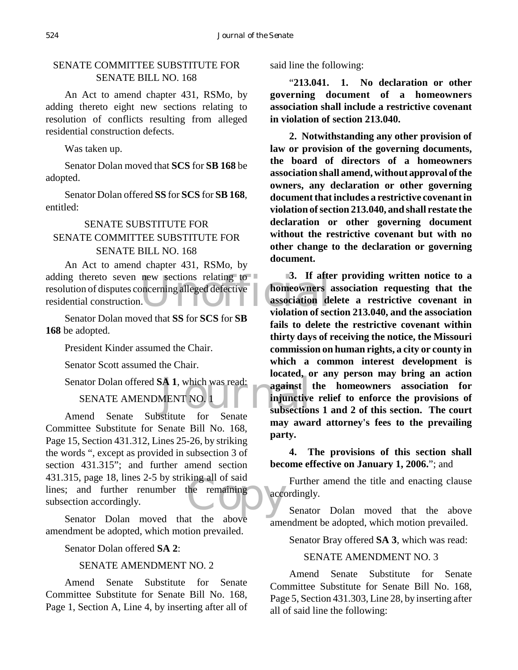# SENATE COMMITTEE SUBSTITUTE FOR SENATE BILL NO. 168

An Act to amend chapter 431, RSMo, by adding thereto eight new sections relating to resolution of conflicts resulting from alleged residential construction defects.

Was taken up.

Senator Dolan moved that **SCS** for **SB 168** be adopted.

Senator Dolan offered **SS** for **SCS** for **SB 168**, entitled:

# SENATE SUBSTITUTE FOR SENATE COMMITTEE SUBSTITUTE FOR SENATE BILL NO. 168

new sections relating to 3. If after<br>bncerning alleged defective<br>association developed a violation of sec An Act to amend chapter 431, RSMo, by adding thereto seven new sections relating to resolution of disputes concerning alleged defective residential construction.

Senator Dolan moved that **SS** for **SCS** for **SB 168** be adopted.

President Kinder assumed the Chair.

Senator Scott assumed the Chair.

Senator Dolan offered **SA 1**, which was read:<br>
SENATE AMENDMENT NO. 1 injunctive

# SENATE AMENDMENT NO. 1

the remaining<br>
the shows<br>
the shows Amend Senate Substitute for Senate Committee Substitute for Senate Bill No. 168, Page 15, Section 431.312, Lines 25-26, by striking the words ", except as provided in subsection 3 of section 431.315"; and further amend section 431.315, page 18, lines 2-5 by striking all of said lines; and further renumber the remaining subsection accordingly.

Senator Dolan moved that the above amendment be adopted, which motion prevailed.

Senator Dolan offered **SA 2**:

### SENATE AMENDMENT NO. 2

Amend Senate Substitute for Senate Committee Substitute for Senate Bill No. 168, Page 1, Section A, Line 4, by inserting after all of said line the following:

"**213.041. 1. No declaration or other governing document of a homeowners association shall include a restrictive covenant in violation of section 213.040.**

**2. Notwithstanding any other provision of law or provision of the governing documents, the board of directors of a homeowners association shall amend, without approval of the owners, any declaration or other governing document that includes a restrictive covenant in violation of section 213.040, and shall restate the declaration or other governing document without the restrictive covenant but with no other change to the declaration or governing document.**

**3. If after providing written notice to a homeowners association requesting that the association delete a restrictive covenant in violation of section 213.040, and the association fails to delete the restrictive covenant within thirty days of receiving the notice, the Missouri commission on human rights, a city or county in which a common interest development is located, or any person may bring an action against the homeowners association for injunctive relief to enforce the provisions of subsections 1 and 2 of this section. The court may award attorney's fees to the prevailing party.**

**4. The provisions of this section shall become effective on January 1, 2006.**"; and

Further amend the title and enacting clause accordingly.

Senator Dolan moved that the above amendment be adopted, which motion prevailed.

Senator Bray offered **SA 3**, which was read:

### SENATE AMENDMENT NO. 3

Amend Senate Substitute for Senate Committee Substitute for Senate Bill No. 168, Page 5, Section 431.303, Line 28, by inserting after all of said line the following: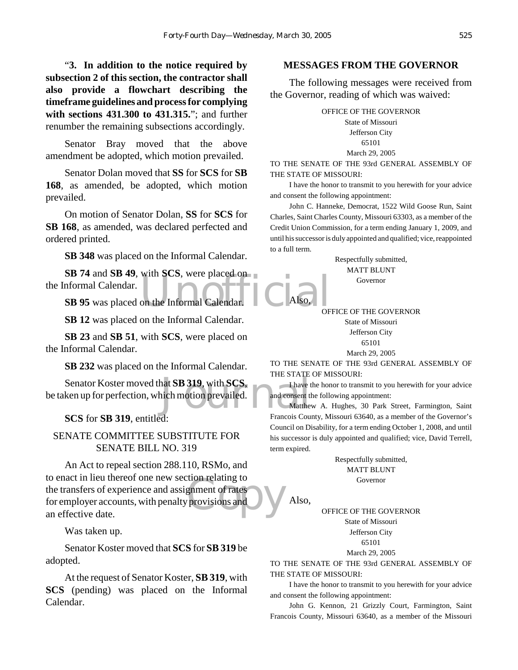"**3. In addition to the notice required by subsection 2 of this section, the contractor shall also provide a flowchart describing the timeframe guidelines and process for complying with sections 431.300 to 431.315.**"; and further renumber the remaining subsections accordingly.

Senator Bray moved that the above amendment be adopted, which motion prevailed.

Senator Dolan moved that **SS** for **SCS** for **SB 168**, as amended, be adopted, which motion prevailed.

On motion of Senator Dolan, **SS** for **SCS** for **SB 168**, as amended, was declared perfected and ordered printed.

**SB 348** was placed on the Informal Calendar.

**SB 74** and **SB 49**, with **SCS**, were placed on<br> **SB 95** was placed on the Informal Calendar. Also, the Informal Calendar.

**SB 95** was placed on the Informal Calendar.

**SB 12** was placed on the Informal Calendar.

**SB 23** and **SB 51**, with **SCS**, were placed on the Informal Calendar.

**SB 232** was placed on the Informal Calendar.

hat **SB 319**, with **SCS**, The state<br>ich motion prevailed. Senator Koster moved that **SB 319**, with **SCS**, be taken up for perfection, which motion prevailed.

**SCS** for **SB 319**, entitled:

SENATE COMMITTEE SUBSTITUTE FOR SENATE BILL NO. 319

Extra relating to<br>gnment of rates<br>provisions and An Act to repeal section 288.110, RSMo, and to enact in lieu thereof one new section relating to the transfers of experience and assignment of rates for employer accounts, with penalty provisions and an effective date.

Was taken up.

Senator Koster moved that **SCS** for **SB 319** be adopted.

At the request of Senator Koster, **SB 319**, with **SCS** (pending) was placed on the Informal Calendar.

### **MESSAGES FROM THE GOVERNOR**

The following messages were received from the Governor, reading of which was waived:

> OFFICE OF THE GOVERNOR State of Missouri Jefferson City 65101 March 29, 2005

TO THE SENATE OF THE 93rd GENERAL ASSEMBLY OF THE STATE OF MISSOURI:

I have the honor to transmit to you herewith for your advice and consent the following appointment:

John C. Hanneke, Democrat, 1522 Wild Goose Run, Saint Charles, Saint Charles County, Missouri 63303, as a member of the Credit Union Commission, for a term ending January 1, 2009, and until his successor is duly appointed and qualified; vice, reappointed to a full term.

> Respectfully submitted, MATT BLUNT Governor

OFFICE OF THE GOVERNOR State of Missouri Jefferson City 65101 March 29, 2005

TO THE SENATE OF THE 93rd GENERAL ASSEMBLY OF THE STATE OF MISSOURI:

I have the honor to transmit to you herewith for your advice and consent the following appointment:

Matthew A. Hughes, 30 Park Street, Farmington, Saint Francois County, Missouri 63640, as a member of the Governor's Council on Disability, for a term ending October 1, 2008, and until his successor is duly appointed and qualified; vice, David Terrell, term expired.

> Respectfully submitted, MATT BLUNT Governor

Also,

Also,

OFFICE OF THE GOVERNOR

State of Missouri Jefferson City

65101 March 29, 2005

TO THE SENATE OF THE 93rd GENERAL ASSEMBLY OF THE STATE OF MISSOURI:

I have the honor to transmit to you herewith for your advice and consent the following appointment:

John G. Kennon, 21 Grizzly Court, Farmington, Saint Francois County, Missouri 63640, as a member of the Missouri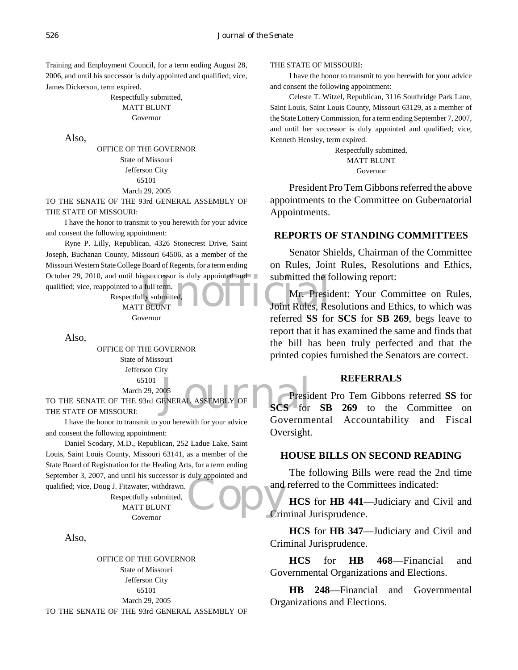Training and Employment Council, for a term ending August 28, 2006, and until his successor is duly appointed and qualified; vice, James Dickerson, term expired.

> Respectfully submitted, MATT BLUNT Governor

Also,

OFFICE OF THE GOVERNOR State of Missouri Jefferson City 65101 March 29, 2005

TO THE SENATE OF THE 93rd GENERAL ASSEMBLY OF THE STATE OF MISSOURI:

I have the honor to transmit to you herewith for your advice and consent the following appointment:

October 29, 2010, and until his successor is duly appointed and<br>
qualified; vice, reappointed to a full term.<br>
Respectfully submitted,<br>
MIT BLUNT<br>
Coint Rules, Re Ryne P. Lilly, Republican, 4326 Stonecrest Drive, Saint Joseph, Buchanan County, Missouri 64506, as a member of the Missouri Western State College Board of Regents, for a term ending

qualified; vice, reappointed to a full term. Respectfully submitted, MATT BLUNT Governor

Also,

OFFICE OF THE GOVERNOR

State of Missouri Jefferson City 65101 March 29, 2005

005<br>ENERAL ASSEMBLY OF SCS for TO THE SENATE OF THE 93rd GENERAL ASSEMBLY OF THE STATE OF MISSOURI:

I have the honor to transmit to you herewith for your advice and consent the following appointment:

**Copy** and Critical Critical Critical Critical Critical Critical Critical Critical Critical Critical Critical Critical Critical Critical Critical Critical Critical Critical Critical Critical Critical Critical Critical Crit Daniel Scodary, M.D., Republican, 252 Ladue Lake, Saint Louis, Saint Louis County, Missouri 63141, as a member of the State Board of Registration for the Healing Arts, for a term ending September 3, 2007, and until his successor is duly appointed and

qualified; vice, Doug J. Fitzwater, withdrawn. Respectfully submitted, MATT BLUNT Governor

Also,

OFFICE OF THE GOVERNOR State of Missouri Jefferson City 65101 March 29, 2005 TO THE SENATE OF THE 93rd GENERAL ASSEMBLY OF

#### THE STATE OF MISSOURI:

I have the honor to transmit to you herewith for your advice and consent the following appointment:

Celeste T. Witzel, Republican, 3116 Southridge Park Lane, Saint Louis, Saint Louis County, Missouri 63129, as a member of the State Lottery Commission, for a term ending September 7, 2007, and until her successor is duly appointed and qualified; vice, Kenneth Hensley, term expired.

> Respectfully submitted, MATT BLUNT Governor

President Pro Tem Gibbons referred the above appointments to the Committee on Gubernatorial Appointments.

### **REPORTS OF STANDING COMMITTEES**

Senator Shields, Chairman of the Committee on Rules, Joint Rules, Resolutions and Ethics, submitted the following report:

Mr. President: Your Committee on Rules, Joint Rules, Resolutions and Ethics, to which was referred **SS** for **SCS** for **SB 269**, begs leave to report that it has examined the same and finds that the bill has been truly perfected and that the printed copies furnished the Senators are correct.

### **REFERRALS**

President Pro Tem Gibbons referred **SS** for **SCS** for **SB 269** to the Committee on Governmental Accountability and Fiscal Oversight.

### **HOUSE BILLS ON SECOND READING**

The following Bills were read the 2nd time and referred to the Committees indicated:

**HCS** for **HB 441**—Judiciary and Civil and Criminal Jurisprudence.

**HCS** for **HB 347**—Judiciary and Civil and Criminal Jurisprudence.

**HCS** for **HB 468**—Financial and Governmental Organizations and Elections.

**HB 248**—Financial and Governmental Organizations and Elections.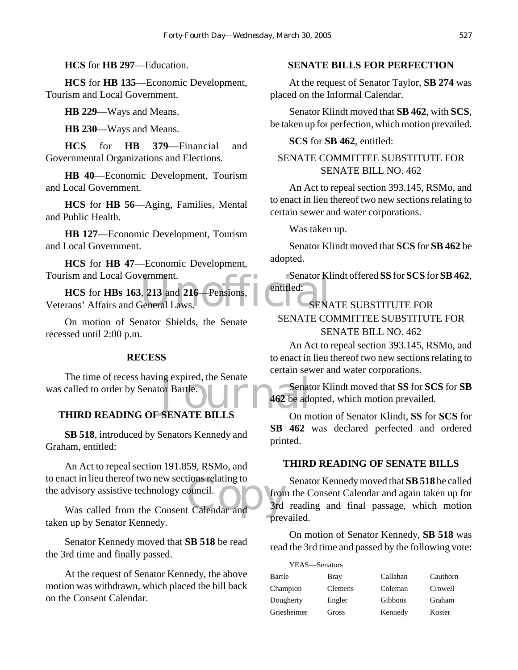**HCS** for **HB 297**—Education.

**HCS** for **HB 135**—Economic Development, Tourism and Local Government.

**HB 229**—Ways and Means.

**HB 230**—Ways and Means.

**HCS** for **HB 379**—Financial and Governmental Organizations and Elections.

**HB 40**—Economic Development, Tourism and Local Government.

**HCS** for **HB 56**—Aging, Families, Mental and Public Health.

**HB 127**—Economic Development, Tourism and Local Government.

**HCS** for **HB 47**—Economic Development, Tourism and Local Government.

Example 1.<br>
Example 13 and 216 Pensions, Pentitled:<br>
Seneral Laws.<br>
SEN **HCS** for **HBs 163**, **213** and **216**—Pensions, Veterans' Affairs and General Laws.

On motion of Senator Shields, the Senate recessed until 2:00 p.m.

### **RECESS**

Senate<br>
or Bartle.<br>
SENATE BILLS<br>
On m The time of recess having expired, the Senate was called to order by Senator Bartle.

### **THIRD READING OF SENATE BILLS**

**SB 518**, introduced by Senators Kennedy and Graham, entitled:

act in heu thereof two new sections relating to<br>
dvisory assistive technology council.<br>
Was called from the Consent Calendar and An Act to repeal section 191.859, RSMo, and to enact in lieu thereof two new sections relating to the advisory assistive technology council.

taken up by Senator Kennedy.

Senator Kennedy moved that **SB 518** be read the 3rd time and finally passed.

At the request of Senator Kennedy, the above motion was withdrawn, which placed the bill back on the Consent Calendar.

# **SENATE BILLS FOR PERFECTION**

At the request of Senator Taylor, **SB 274** was placed on the Informal Calendar.

Senator Klindt moved that **SB 462**, with **SCS**, be taken up for perfection, which motion prevailed.

### **SCS** for **SB 462**, entitled:

# SENATE COMMITTEE SUBSTITUTE FOR SENATE BILL NO. 462

An Act to repeal section 393.145, RSMo, and to enact in lieu thereof two new sections relating to certain sewer and water corporations.

Was taken up.

Senator Klindt moved that **SCS** for **SB 462** be adopted.

Senator Klindt offered **SS** for **SCS** for **SB 462**, entitled:

# SENATE SUBSTITUTE FOR SENATE COMMITTEE SUBSTITUTE FOR SENATE BILL NO. 462

An Act to repeal section 393.145, RSMo, and to enact in lieu thereof two new sections relating to certain sewer and water corporations.

Senator Klindt moved that **SS** for **SCS** for **SB 462** be adopted, which motion prevailed.

On motion of Senator Klindt, **SS** for **SCS** for **SB 462** was declared perfected and ordered printed.

### **THIRD READING OF SENATE BILLS**

Senator Kennedy moved that **SB 518** be called from the Consent Calendar and again taken up for 3rd reading and final passage, which motion prevailed.

On motion of Senator Kennedy, **SB 518** was read the 3rd time and passed by the following vote:

| YEAS-Senators |          |          |
|---------------|----------|----------|
| Bray          | Callahan | Cauthorn |
| Clemens       | Coleman  | Crowell  |
| Engler        | Gibbons  | Graham   |
| Gross         | Kennedy  | Koster   |
|               |          |          |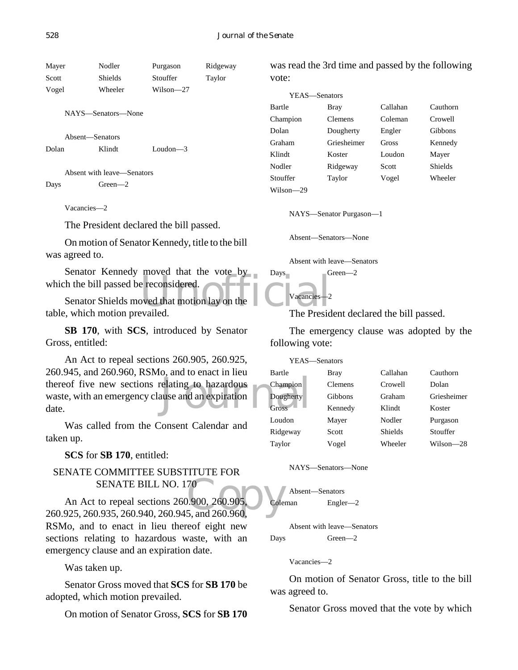Mayer Nodler Purgason Ridgeway Scott Shields Stouffer Taylor Vogel Wheeler Wilson—27 NAYS—Senators—None Absent—Senators Dolan Klindt Loudon—3

Absent with leave—Senators Days Green—2

Vacancies—2

The President declared the bill passed.

On motion of Senator Kennedy, title to the bill was agreed to.

Senator Kennedy moved that the vote by which the bill passed be reconsidered.

Proved that the vote by Bays<br>are reconsidered.<br>above that motion lay on the Dreamcies-2<br>availed The Presid Senator Shields moved that motion lay on the table, which motion prevailed.

**SB 170**, with **SCS**, introduced by Senator Gross, entitled:

Thereof five new sections relating to hazardous<br>
waste, with an emergency clause and an expiration<br>
Cross An Act to repeal sections 260.905, 260.925, 260.945, and 260.960, RSMo, and to enact in lieu waste, with an emergency clause and an expiration date.

Was called from the Consent Calendar and taken up.

**SCS** for **SB 170**, entitled:

# SENATE COMMITTEE SUBSTITUTE FOR SENATE BILL NO. 170

70<br>0.900, 260.905,<br>5, and 260.960, An Act to repeal sections 260.900, 260.905, 260.925, 260.935, 260.940, 260.945, and 260.960, RSMo, and to enact in lieu thereof eight new sections relating to hazardous waste, with an emergency clause and an expiration date.

Was taken up.

Senator Gross moved that **SCS** for **SB 170** be adopted, which motion prevailed.

On motion of Senator Gross, **SCS** for **SB 170**

was read the 3rd time and passed by the following vote:

| YEAS—Senators |                |          |                |
|---------------|----------------|----------|----------------|
| Bartle        | Bray           | Callahan | Cauthorn       |
| Champion      | <b>Clemens</b> | Coleman  | Crowell        |
| Dolan         | Dougherty      | Engler   | Gibbons        |
| Graham        | Griesheimer    | Gross    | Kennedy        |
| Klindt        | Koster         | Loudon   | Mayer          |
| Nodler        | Ridgeway       | Scott    | <b>Shields</b> |
| Stouffer      | Taylor         | Vogel    | Wheeler        |
| Wilson—29     |                |          |                |

NAYS—Senator Purgason—1

Absent—Senators—None

Absent with leave—Senators

Days Green—2

Vacancies—2

The President declared the bill passed.

The emergency clause was adopted by the following vote:

| YEAS—Senators |                |                |             |
|---------------|----------------|----------------|-------------|
| Bartle        | Bray           | Callahan       | Cauthorn    |
| Champion      | <b>Clemens</b> | Crowell        | Dolan       |
| Dougherty     | Gibbons        | Graham         | Griesheimer |
| <b>Gross</b>  | Kennedy        | Klindt         | Koster      |
| Loudon        | Mayer          | Nodler         | Purgason    |
| Ridgeway      | Scott          | <b>Shields</b> | Stouffer    |
| Taylor        | Vogel          | Wheeler        | Wilson—28   |
|               |                |                |             |

NAYS—Senators—None

Absent—Senators Coleman Engler—2

Absent with leave—Senators Days Green—2

Vacancies—2

On motion of Senator Gross, title to the bill was agreed to.

Senator Gross moved that the vote by which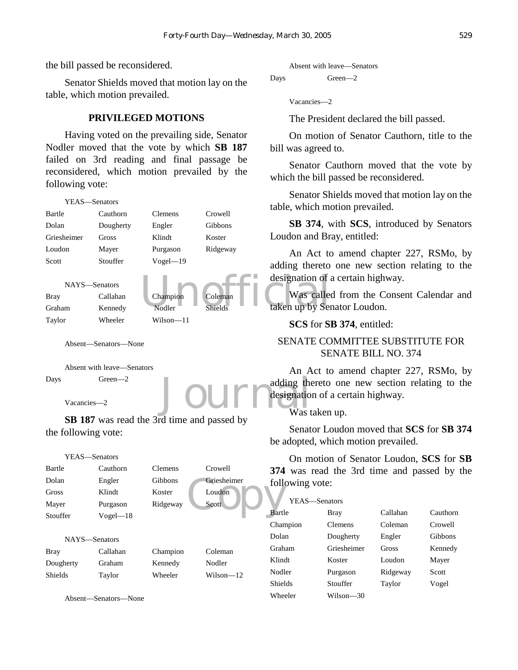the bill passed be reconsidered.

Senator Shields moved that motion lay on the table, which motion prevailed.

### **PRIVILEGED MOTIONS**

Having voted on the prevailing side, Senator Nodler moved that the vote by which **SB 187** failed on 3rd reading and final passage be reconsidered, which motion prevailed by the following vote:

```
Champion Coleman Coleman Was called the Unit of the Unit of the Unit of the Unit of the Unit of the Unit of the Unit of the Unit of the Unit of the Unit of the Unit of the Unit of the Unit of the Unit of the Unit of the Un
     YEAS—Senators
Bartle Cauthorn Clemens Crowell
Dolan Dougherty Engler Gibbons
Griesheimer Gross Klindt Koster
Loudon Mayer Purgason Ridgeway
Scott Stouffer Vogel—19
     NAYS—Senators
Bray Callahan Champion Coleman
Graham Kennedy Nodler Shields
Taylor Wheeler Wilson—11
```
Absent—Senators—None

Absent with leave—Senators Days Green—2

Vacancies—2

**SB 187** was read the 3rd time and passed by the following vote:

```
Griesheimer<br>
Scott<br>
Scott<br>
Bartl
   YEAS—Senators
Bartle Cauthorn Clemens Crowell
Dolan Engler Gibbons Griesheimer
Gross Klindt Koster Loudon
Mayer Purgason Ridgeway Scott
Stouffer Vogel—18
   NAYS—Senators
Bray Callahan Champion Coleman
Dougherty Graham Kennedy Nodler
Shields Taylor Wheeler Wilson—12
```
Absent—Senators—None

Absent with leave—Senators

```
Days Green—2
```
Vacancies—2

The President declared the bill passed.

On motion of Senator Cauthorn, title to the bill was agreed to.

Senator Cauthorn moved that the vote by which the bill passed be reconsidered.

Senator Shields moved that motion lay on the table, which motion prevailed.

**SB 374**, with **SCS**, introduced by Senators Loudon and Bray, entitled:

An Act to amend chapter 227, RSMo, by adding thereto one new section relating to the designation of a certain highway.

Was called from the Consent Calendar and taken up by Senator Loudon.

**SCS** for **SB 374**, entitled:

# SENATE COMMITTEE SUBSTITUTE FOR SENATE BILL NO. 374

Journal designation An Act to amend chapter 227, RSMo, by adding thereto one new section relating to the designation of a certain highway.

### Was taken up.

Senator Loudon moved that **SCS** for **SB 374** be adopted, which motion prevailed.

On motion of Senator Loudon, **SCS** for **SB 374** was read the 3rd time and passed by the following vote:

| YEAS—Senators |                |          |          |
|---------------|----------------|----------|----------|
| Bartle        | Bray           | Callahan | Cauthorn |
| Champion      | <b>Clemens</b> | Coleman  | Crowell  |
| Dolan         | Dougherty      | Engler   | Gibbons  |
| Graham        | Griesheimer    | Gross    | Kennedy  |
| Klindt        | Koster         | Loudon   | Mayer    |
| Nodler        | Purgason       | Ridgeway | Scott    |
| Shields       | Stouffer       | Taylor   | Vogel    |
| Wheeler       | Wilson—30      |          |          |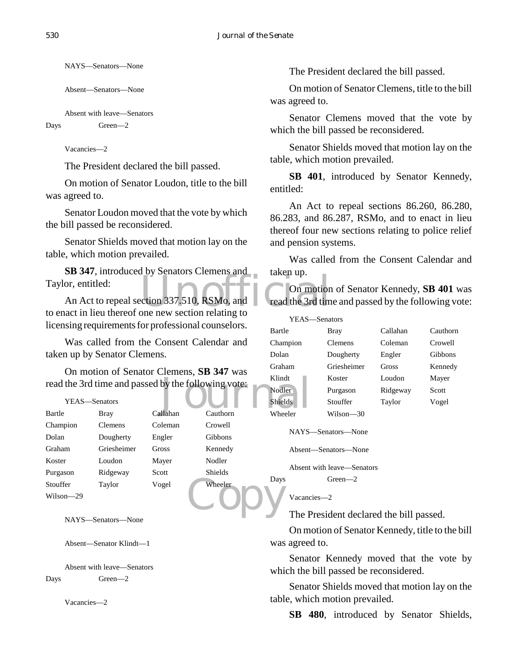NAYS—Senators—None

Absent—Senators—None

```
Absent with leave—Senators
Days Green—2
```
Vacancies—2

The President declared the bill passed.

On motion of Senator Loudon, title to the bill was agreed to.

Senator Loudon moved that the vote by which the bill passed be reconsidered.

Senator Shields moved that motion lay on the table, which motion prevailed.

**SB 347**, introduced by Senators Clemens and Taylor, entitled:

Contact Contact Section 237.510, RSMo, and<br>Die new section relating to An Act to repeal section 337.510, RSMo, and to enact in lieu thereof one new section relating to licensing requirements for professional counselors.

Was called from the Consent Calendar and taken up by Senator Clemens.

On motion of Senator Clemens, **SB 347** was

| read the 3rd time and passed by the following vote: |               |          |                | Klindt         |
|-----------------------------------------------------|---------------|----------|----------------|----------------|
|                                                     |               |          |                | Nodler         |
|                                                     | YEAS—Senators |          |                | <b>Shields</b> |
| Bartle                                              | <b>Bray</b>   | Callahan | Cauthorn       | Wheeler        |
| Champion                                            | Clemens       | Coleman  | Crowell        |                |
| Dolan                                               | Dougherty     | Engler   | Gibbons        | NAYS-          |
| Graham                                              | Griesheimer   | Gross    | Kennedy        | Absent-        |
| Koster                                              | Loudon        | Mayer    | Nodler         |                |
| Purgason                                            | Ridgeway      | Scott    | <b>Shields</b> | Absent         |
| Stouffer                                            | Taylor        | Vogel    | Wheeler        | Days           |
| Wilson-29                                           |               |          |                | Vacanc         |
|                                                     | $\sim$ $\sim$ |          |                | The P          |

NAYS—Senators—None

Absent—Senator Klindt—1

Absent with leave—Senators Days Green—2

Vacancies—2

The President declared the bill passed.

On motion of Senator Clemens, title to the bill was agreed to.

Senator Clemens moved that the vote by which the bill passed be reconsidered.

Senator Shields moved that motion lay on the table, which motion prevailed.

**SB 401**, introduced by Senator Kennedy, entitled:

An Act to repeal sections 86.260, 86.280, 86.283, and 86.287, RSMo, and to enact in lieu thereof four new sections relating to police relief and pension systems.

Was called from the Consent Calendar and taken up.

On motion of Senator Kennedy, **SB 401** was read the 3rd time and passed by the following vote:

| YEAS-Senators  |                |          |          |
|----------------|----------------|----------|----------|
| Bartle         | Bray           | Callahan | Cauthorn |
| Champion       | <b>Clemens</b> | Coleman  | Crowell  |
| Dolan          | Dougherty      | Engler   | Gibbons  |
| Graham         | Griesheimer    | Gross    | Kennedy  |
| Klindt         | Koster         | Loudon   | Mayer    |
| <b>Nodler</b>  | Purgason       | Ridgeway | Scott    |
| <b>Shields</b> | Stouffer       | Taylor   | Vogel    |
| Wheeler        | Wilson—30      |          |          |

NAYS—Senators—None

```
Absent—Senators—None
```
Absent with leave—Senators

```
Days Green—2
```
Vacancies—2

The President declared the bill passed.

On motion of Senator Kennedy, title to the bill was agreed to.

Senator Kennedy moved that the vote by which the bill passed be reconsidered.

Senator Shields moved that motion lay on the table, which motion prevailed.

**SB 480**, introduced by Senator Shields,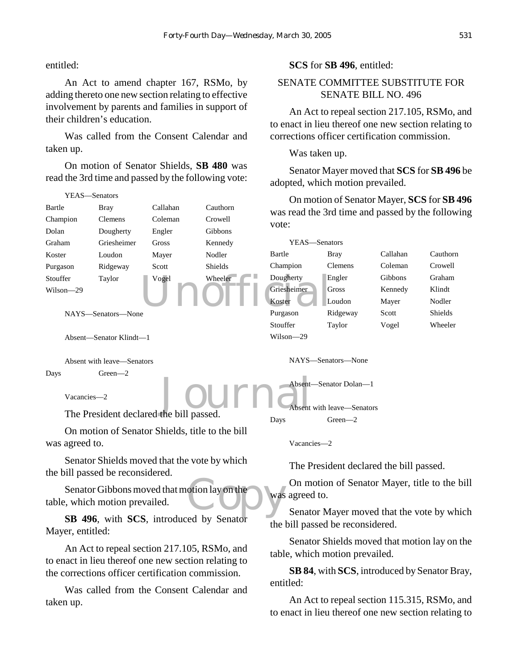entitled:

An Act to amend chapter 167, RSMo, by adding thereto one new section relating to effective involvement by parents and families in support of their children's education.

Was called from the Consent Calendar and taken up.

On motion of Senator Shields, **SB 480** was read the 3rd time and passed by the following vote:

#### Vogel Wheeler Dougherty E<br>
Koster L<br>
Purgason R Journa<sup>Absent</sup> YEAS—Senators Bartle Bray Callahan Cauthorn Champion Clemens Coleman Crowell Dolan Dougherty Engler Gibbons Graham Griesheimer Gross Kennedy Koster Loudon Mayer Nodler Purgason Ridgeway Scott Shields Stouffer Taylor Vogel Wheeler Wilson—29 NAYS—Senators—None Absent—Senator Klindt—1 Absent with leave—Senators Days Green—2 Vacancies—2 vote: YEAS—Senators Bartle Bray Callahan Cauthorn Champion Clemens Coleman Crowell Dougherty Engler Gibbons Graham Griesheimer Gross Kennedy Klindt Koster Loudon Mayer Nodler Purgason Ridgeway Scott Shields Stouffer Taylor Vogel Wheeler Wilson—29 NAYS—Senators—None Absent—Senator Dolan—1 Absent with leave—Senators

The President declared the bill passed.

On motion of Senator Shields, title to the bill was agreed to.

Senator Shields moved that the vote by which the bill passed be reconsidered.

otion lay on the Senator Gibbons moved that motion lay on the table, which motion prevailed.

**SB 496**, with **SCS**, introduced by Senator Mayer, entitled:

An Act to repeal section 217.105, RSMo, and to enact in lieu thereof one new section relating to the corrections officer certification commission.

Was called from the Consent Calendar and taken up.

### **SCS** for **SB 496**, entitled:

# SENATE COMMITTEE SUBSTITUTE FOR SENATE BILL NO. 496

An Act to repeal section 217.105, RSMo, and to enact in lieu thereof one new section relating to corrections officer certification commission.

Was taken up.

Senator Mayer moved that **SCS** for **SB 496** be adopted, which motion prevailed.

On motion of Senator Mayer, **SCS** for **SB 496** was read the 3rd time and passed by the following

Vacancies—2

Days Green—2

The President declared the bill passed.

On motion of Senator Mayer, title to the bill was agreed to.

Senator Mayer moved that the vote by which the bill passed be reconsidered.

Senator Shields moved that motion lay on the table, which motion prevailed.

**SB 84**, with **SCS**, introduced by Senator Bray, entitled:

An Act to repeal section 115.315, RSMo, and to enact in lieu thereof one new section relating to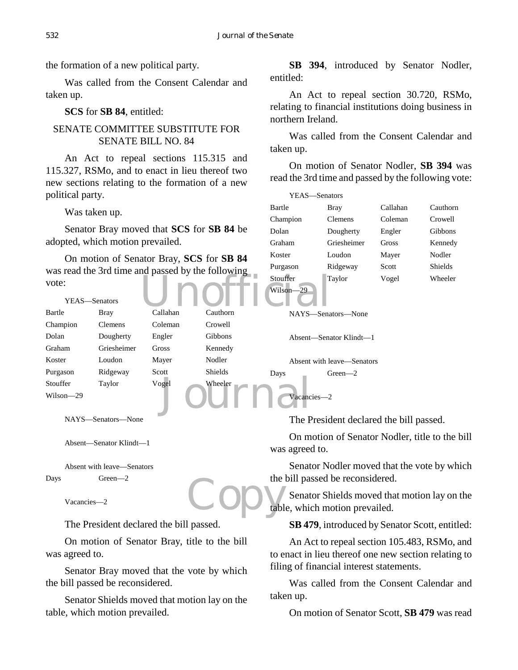the formation of a new political party.

Was called from the Consent Calendar and taken up.

**SCS** for **SB 84**, entitled:

# SENATE COMMITTEE SUBSTITUTE FOR SENATE BILL NO. 84

An Act to repeal sections 115.315 and 115.327, RSMo, and to enact in lieu thereof two new sections relating to the formation of a new political party.

Was taken up.

Senator Bray moved that **SCS** for **SB 84** be adopted, which motion prevailed.

On motion of Senator Bray, **SCS** for **SB 84** was read the 3rd time and passed by the following vote:

**SB 394**, introduced by Senator Nodler, entitled:

An Act to repeal section 30.720, RSMo, relating to financial institutions doing business in northern Ireland.

Was called from the Consent Calendar and taken up.

On motion of Senator Nodler, **SB 394** was read the 3rd time and passed by the following vote:

| YEAS-Senators |             |          |                |
|---------------|-------------|----------|----------------|
| Bartle        | Bray        | Callahan | Cauthorn       |
| Champion      | Clemens     | Coleman  | Crowell        |
| Dolan         | Dougherty   | Engler   | Gibbons        |
| Graham        | Griesheimer | Gross    | Kennedy        |
| Koster        | Loudon      | Mayer    | Nodler         |
| Purgason      | Ridgeway    | Scott    | <b>Shields</b> |
| Stouffer      | Taylor      | Vogel    | Wheeler        |
| .             |             |          |                |

|           |                |          | $m$ as road the side three and passed $s_f$ are rollowing |           |                            |
|-----------|----------------|----------|-----------------------------------------------------------|-----------|----------------------------|
| vote:     |                |          |                                                           | Stouffer  | Taylor                     |
|           |                |          |                                                           | Wilson-29 |                            |
|           | YEAS—Senators  |          |                                                           |           |                            |
| Bartle    | Bray           | Callahan | Cauthorn                                                  |           | NAYS—Senators—None         |
| Champion  | <b>Clemens</b> | Coleman  | Crowell                                                   |           |                            |
| Dolan     | Dougherty      | Engler   | <b>Gibbons</b>                                            |           | Absent—Senator Klindt—1    |
| Graham    | Griesheimer    | Gross    | Kennedy                                                   |           |                            |
| Koster    | Loudon         | Mayer    | Nodler                                                    |           | Absent with leave—Senators |
| Purgason  | Ridgeway       | Scott    | <b>Shields</b>                                            | Days      | $Green - 2$                |
| Stouffer  | Taylor         | Vogel    | Wheeler                                                   |           |                            |
| Wilson-29 |                |          |                                                           |           | Vacancies-2                |
|           |                |          |                                                           |           |                            |

NAYS—Senators—None

Absent—Senator Klindt—1

Absent with leave—Senators Days Green—2

Vacancies—2

The President declared the bill passed.

On motion of Senator Bray, title to the bill was agreed to.

Senator Bray moved that the vote by which the bill passed be reconsidered.

Senator Shields moved that motion lay on the table, which motion prevailed.

The President declared the bill passed.

On motion of Senator Nodler, title to the bill was agreed to.

Senator Nodler moved that the vote by which the bill passed be reconsidered.

Copy<sub>tabl</sub> Senator Shields moved that motion lay on the table, which motion prevailed.

**SB 479**, introduced by Senator Scott, entitled:

An Act to repeal section 105.483, RSMo, and to enact in lieu thereof one new section relating to filing of financial interest statements.

Was called from the Consent Calendar and taken up.

On motion of Senator Scott, **SB 479** was read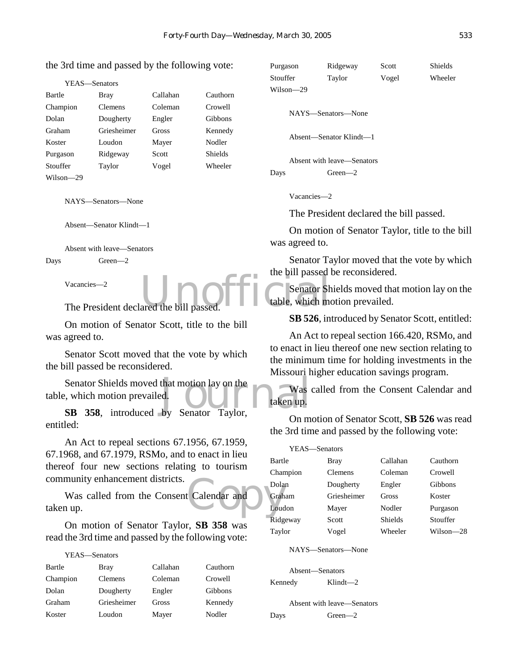### the 3rd time and passed by the following vote:

| YEAS-Senators |
|---------------|
|               |

| Bartle    | Bray        | Callahan | Cauthorn       |
|-----------|-------------|----------|----------------|
| Champion  | Clemens     | Coleman  | Crowell        |
| Dolan     | Dougherty   | Engler   | Gibbons        |
| Graham    | Griesheimer | Gross    | Kennedy        |
| Koster    | Loudon      | Mayer    | Nodler         |
| Purgason  | Ridgeway    | Scott    | <b>Shields</b> |
| Stouffer  | Taylor      | Vogel    | Wheeler        |
| Wilson—29 |             |          |                |

NAYS—Senators—None

Absent—Senator Klindt—1

Absent with leave—Senators Days Green—2

#### Vacancies—2

The President declared the bill passed.

On motion of Senator Scott, title to the bill was agreed to.

Senator Scott moved that the vote by which the bill passed be reconsidered.

Senator Shields moved that motion lay on the<br>
introduced by Senator Taylor, Senator Shields moved that motion lay on the table, which motion prevailed.

entitled:

An Act to repeal sections 67.1956, 67.1959, 67.1968, and 67.1979, RSMo, and to enact in lieu thereof four new sections relating to tourism community enhancement districts.

Execution Calendar and Was called from the Consent Calendar and taken up.

On motion of Senator Taylor, **SB 358** was read the 3rd time and passed by the following vote:

| YEAS-Senators |             |          |          |
|---------------|-------------|----------|----------|
| Bartle        | Bray        | Callahan | Cauthorn |
| Champion      | Clemens     | Coleman  | Crowell  |
| Dolan         | Dougherty   | Engler   | Gibbons  |
| Graham        | Griesheimer | Gross    | Kennedy  |
| Koster        | Loudon      | Mayer    | Nodler   |

| Purgason  | Ridgeway | Scott | Shields |
|-----------|----------|-------|---------|
| Stouffer  | Taylor   | Vogel | Wheeler |
| Wilson—29 |          |       |         |

NAYS—Senators—None

Absent—Senator Klindt—1

Absent with leave—Senators Days Green—2

Vacancies—2

The President declared the bill passed.

On motion of Senator Taylor, title to the bill was agreed to.

Senator Taylor moved that the vote by which the bill passed be reconsidered.

ared the bill passed. Senator Shields moved that motion lay on the table, which motion prevailed.

**SB 526**, introduced by Senator Scott, entitled:

An Act to repeal section 166.420, RSMo, and to enact in lieu thereof one new section relating to the minimum time for holding investments in the Missouri higher education savings program.

Was called from the Consent Calendar and taken up.

On motion of Senator Scott, **SB 526** was read the 3rd time and passed by the following vote:

| YEAS-Senators |                |                |           |
|---------------|----------------|----------------|-----------|
| Bartle        | <b>Bray</b>    | Callahan       | Cauthorn  |
| Champion      | <b>Clemens</b> | Coleman        | Crowell   |
| Dolan         | Dougherty      | Engler         | Gibbons   |
| Graham        | Griesheimer    | Gross          | Koster    |
| Loudon        | Mayer          | Nodler         | Purgason  |
| Ridgeway      | Scott          | <b>Shields</b> | Stouffer  |
| Taylor        | Vogel          | Wheeler        | Wilson—28 |

NAYS—Senators—None

Absent—Senators

Kennedy Klindt—2

Absent with leave—Senators Days Green—2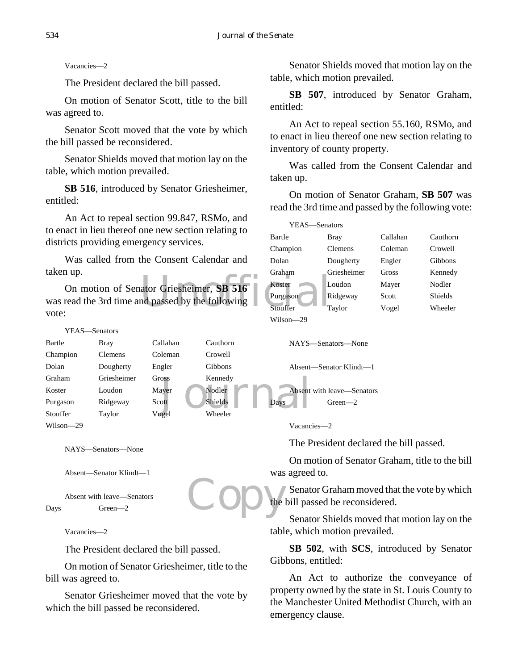Vacancies—2

The President declared the bill passed.

On motion of Senator Scott, title to the bill was agreed to.

Senator Scott moved that the vote by which the bill passed be reconsidered.

Senator Shields moved that motion lay on the table, which motion prevailed.

**SB 516**, introduced by Senator Griesheimer, entitled:

An Act to repeal section 99.847, RSMo, and to enact in lieu thereof one new section relating to districts providing emergency services.

Was called from the Consent Calendar and taken up.

ator Griesheimer, SB 516<br>
Management of the following<br>
Stouffer On motion of Senator Griesheimer, **SB 516** was read the 3rd time and passed by the following vote:

|               | YEAS—Senators  |          |                 |                        |
|---------------|----------------|----------|-----------------|------------------------|
| Bartle        | Bray           | Callahan | Cauthorn        | NAYS—Senators—Non      |
| Champion      | <b>Clemens</b> | Coleman  | Crowell         |                        |
| Dolan         | Dougherty      | Engler   | Gibbons         | Absent—Senator Klindt  |
| Graham        | Griesheimer    | Gross-   | Kennedy         |                        |
| Koster        | Loudon         | Mayer    | Nodler          | Absent with leave-Sena |
| Purgason      | Ridgeway       | Scott    | Shields<br>Days | Green $-2$             |
| Stouffer      | Taylor         | Vogel    | Wheeler         |                        |
| $Wilson = 29$ |                |          |                 | V <sub>acancies</sub>  |

NAYS—Senators—None

Absent—Senator Klindt—1

```
Absent with leave—Senators
Days Green—2
```
Vacancies—2

The President declared the bill passed.

On motion of Senator Griesheimer, title to the bill was agreed to.

Senator Griesheimer moved that the vote by which the bill passed be reconsidered.

Senator Shields moved that motion lay on the table, which motion prevailed.

**SB 507**, introduced by Senator Graham, entitled:

An Act to repeal section 55.160, RSMo, and to enact in lieu thereof one new section relating to inventory of county property.

Was called from the Consent Calendar and taken up.

On motion of Senator Graham, **SB 507** was read the 3rd time and passed by the following vote:

| YEAS-Senators |                |          |                |
|---------------|----------------|----------|----------------|
| Bartle        | Bray           | Callahan | Cauthorn       |
| Champion      | <b>Clemens</b> | Coleman  | Crowell        |
| Dolan         | Dougherty      | Engler   | Gibbons        |
| Graham        | Griesheimer    | Gross    | Kennedy        |
| Koster        | Loudon         | Mayer    | Nodler         |
| Purgason      | Ridgeway       | Scott    | <b>Shields</b> |
| Stouffer      | Taylor         | Vogel    | Wheeler        |
| Wilson—29     |                |          |                |

NAYS—Senators—None

Absent—Senator Klindt—1

ators

Vacancies—2

The President declared the bill passed.

On motion of Senator Graham, title to the bill was agreed to.

Copy<sup>te</sup> Senator Graham moved that the vote by which the bill passed be reconsidered.

Senator Shields moved that motion lay on the table, which motion prevailed.

**SB 502**, with **SCS**, introduced by Senator Gibbons, entitled:

An Act to authorize the conveyance of property owned by the state in St. Louis County to the Manchester United Methodist Church, with an emergency clause.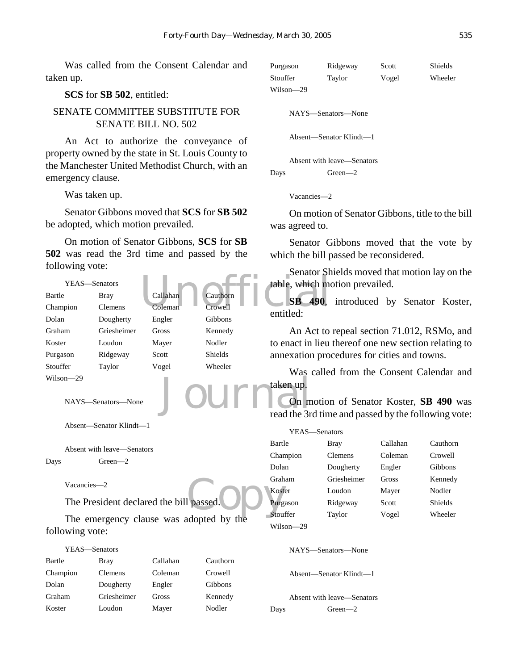Was called from the Consent Calendar and taken up.

### **SCS** for **SB 502**, entitled:

# SENATE COMMITTEE SUBSTITUTE FOR SENATE BILL NO. 502

An Act to authorize the conveyance of property owned by the state in St. Louis County to the Manchester United Methodist Church, with an emergency clause.

Was taken up.

Senator Gibbons moved that **SCS** for **SB 502** be adopted, which motion prevailed.

On motion of Senator Gibbons, **SCS** for **SB 502** was read the 3rd time and passed by the following vote:



Absent—Senator Klindt—1

```
Absent with leave—Senators
Days Green—2
```
Vacancies—2

The President declared the bill passed.

The emergency clause was adopted by the following vote:

# YEAS—Senators

| Bartle   | Bray        | Callahan | Cauthorn |
|----------|-------------|----------|----------|
| Champion | Clemens     | Coleman  | Crowell  |
| Dolan    | Dougherty   | Engler   | Gibbons  |
| Graham   | Griesheimer | Gross    | Kennedy  |
| Koster   | Loudon      | Mayer    | Nodler   |

| Purgason  | Ridgeway | Scott | Shields |
|-----------|----------|-------|---------|
| Stouffer  | Tavlor   | Vogel | Wheeler |
| Wilson—29 |          |       |         |

NAYS—Senators—None

Absent—Senator Klindt—1

Absent with leave—Senators Days Green—2

Vacancies—2

On motion of Senator Gibbons, title to the bill was agreed to.

Senator Gibbons moved that the vote by which the bill passed be reconsidered.

Senator Shields moved that motion lay on the table, which motion prevailed.

**SB 490**, introduced by Senator Koster, entitled:

An Act to repeal section 71.012, RSMo, and to enact in lieu thereof one new section relating to annexation procedures for cities and towns.

Was called from the Consent Calendar and taken up.

On motion of Senator Koster, **SB 490** was read the 3rd time and passed by the following vote:

| YEAS—Senators |           |                |              |                |
|---------------|-----------|----------------|--------------|----------------|
|               | Bartle    | Bray           | Callahan     | Cauthorn       |
|               | Champion  | <b>Clemens</b> | Coleman      | Crowell        |
|               | Dolan     | Dougherty      | Engler       | Gibbons        |
|               | Graham    | Griesheimer    | <b>Gross</b> | Kennedy        |
|               | Koster    | Loudon         | Mayer        | Nodler         |
| l passed.     | Purgason  | Ridgeway       | Scott        | <b>Shields</b> |
| dopted by the | Stouffer  | Taylor         | Vogel        | Wheeler        |
|               | Wilson—29 |                |              |                |

NAYS—Senators—None

Absent—Senator Klindt—1

Absent with leave—Senators Days Green—2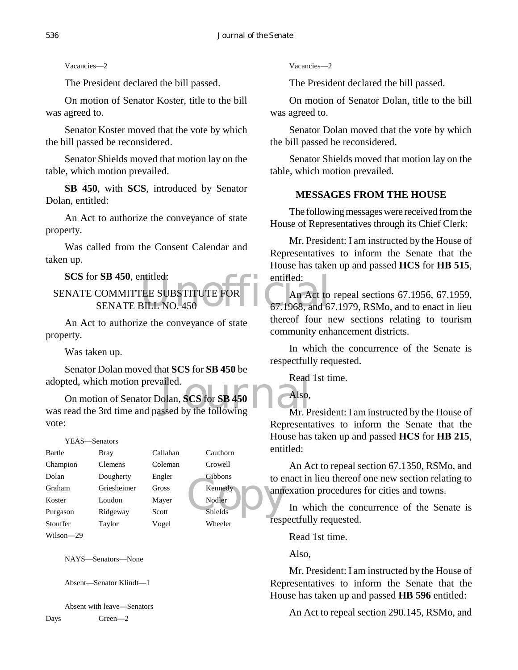Vacancies—2

The President declared the bill passed.

On motion of Senator Koster, title to the bill was agreed to.

Senator Koster moved that the vote by which the bill passed be reconsidered.

Senator Shields moved that motion lay on the table, which motion prevailed.

**SB 450**, with **SCS**, introduced by Senator Dolan, entitled:

An Act to authorize the conveyance of state property.

Was called from the Consent Calendar and taken up.

**SCS** for **SB 450**, entitled:

ntitled:<br>
THE SUBSTITUTE FOR THE An Act to<br>
BILL NO. 450 67.1968, and 6 SENATE COMMITTEE SUBSTITUTE FOR SENATE BILL NO. 450

An Act to authorize the conveyance of state property.

Was taken up.

Senator Dolan moved that **SCS** for **SB 450** be adopted, which motion prevailed.

adopted, which motion prevailed.<br>
On motion of Senator Dolan, **SCS** for **SB 450** Also,<br>
was read the 3rd time and passed by the following Mr. P On motion of Senator Dolan, **SCS** for **SB 450** vote:

### YEAS—Senators

| Bartle      | <b>Bray</b> | Callahan | Cauthorn       | enu  |
|-------------|-------------|----------|----------------|------|
| Champion    | Clemens     | Coleman  | Crowell        |      |
| Dolan       | Dougherty   | Engler   | Gibbons        | to e |
| Graham      | Griesheimer | Gross    | Kennedy        | ann  |
| Koster      | Loudon      | Mayer    | Nodler         |      |
| Purgason    | Ridgeway    | Scott    | <b>Shields</b> |      |
| Stouffer    | Taylor      | Vogel    | Wheeler        | resp |
| $117.1 - 1$ |             |          |                |      |

Wilson—29

NAYS—Senators—None

Absent—Senator Klindt—1

Absent with leave—Senators Days Green—2

Vacancies—2

The President declared the bill passed.

On motion of Senator Dolan, title to the bill was agreed to.

Senator Dolan moved that the vote by which the bill passed be reconsidered.

Senator Shields moved that motion lay on the table, which motion prevailed.

# **MESSAGES FROM THE HOUSE**

The following messages were received from the House of Representatives through its Chief Clerk:

Mr. President: I am instructed by the House of Representatives to inform the Senate that the House has taken up and passed **HCS** for **HB 515**, entitled:

An Act to repeal sections 67.1956, 67.1959, 67.1968, and 67.1979, RSMo, and to enact in lieu thereof four new sections relating to tourism community enhancement districts.

In which the concurrence of the Senate is respectfully requested.

Read 1st time.

Also,

Mr. President: I am instructed by the House of Representatives to inform the Senate that the House has taken up and passed **HCS** for **HB 215**, entitled:

An Act to repeal section 67.1350, RSMo, and to enact in lieu thereof one new section relating to annexation procedures for cities and towns.

In which the concurrence of the Senate is respectfully requested.

Read 1st time.

Also,

Mr. President: I am instructed by the House of Representatives to inform the Senate that the House has taken up and passed **HB 596** entitled:

An Act to repeal section 290.145, RSMo, and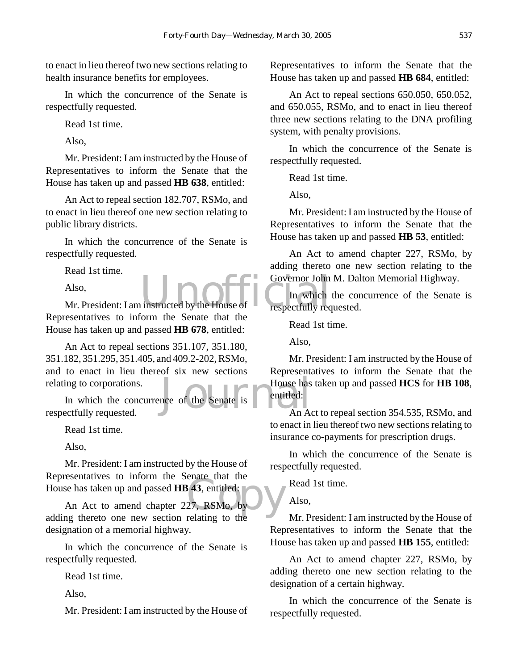to enact in lieu thereof two new sections relating to health insurance benefits for employees.

In which the concurrence of the Senate is respectfully requested.

Read 1st time.

Also,

Mr. President: I am instructed by the House of Representatives to inform the Senate that the House has taken up and passed **HB 638**, entitled:

An Act to repeal section 182.707, RSMo, and to enact in lieu thereof one new section relating to public library districts.

In which the concurrence of the Senate is respectfully requested.

Read 1st time.

Also,

Also,<br>Mr. President: I am instructed by the House of Table The Which<br>respectfully req Representatives to inform the Senate that the House has taken up and passed **HB 678**, entitled:

An Act to repeal sections 351.107, 351.180, 351.182, 351.295, 351.405, and 409.2-202, RSMo, and to enact in lieu thereof six new sections relating to corporations.

House has<br>
nois and House has<br>
An A In which the concurrence of the Senate is respectfully requested.

Read 1st time.

Also,

Mr. President: I am instructed by the House of Representatives to inform the Senate that the House has taken up and passed **HB 43**, entitled:

 $\frac{1}{3}$  and the  $\frac{1}{3}$ , entitled:<br>27, RSMo, by An Act to amend chapter 227, RSMo, by adding thereto one new section relating to the designation of a memorial highway.

In which the concurrence of the Senate is respectfully requested.

Read 1st time.

Also,

Mr. President: I am instructed by the House of

Representatives to inform the Senate that the House has taken up and passed **HB 684**, entitled:

An Act to repeal sections 650.050, 650.052, and 650.055, RSMo, and to enact in lieu thereof three new sections relating to the DNA profiling system, with penalty provisions.

In which the concurrence of the Senate is respectfully requested.

Read 1st time.

Also,

Mr. President: I am instructed by the House of Representatives to inform the Senate that the House has taken up and passed **HB 53**, entitled:

An Act to amend chapter 227, RSMo, by adding thereto one new section relating to the Governor John M. Dalton Memorial Highway.

In which the concurrence of the Senate is respectfully requested.

Read 1st time.

Also,

Mr. President: I am instructed by the House of Representatives to inform the Senate that the House has taken up and passed **HCS** for **HB 108**, entitled:

An Act to repeal section 354.535, RSMo, and to enact in lieu thereof two new sections relating to insurance co-payments for prescription drugs.

In which the concurrence of the Senate is respectfully requested.

Read 1st time.

Also,

Mr. President: I am instructed by the House of Representatives to inform the Senate that the House has taken up and passed **HB 155**, entitled:

An Act to amend chapter 227, RSMo, by adding thereto one new section relating to the designation of a certain highway.

In which the concurrence of the Senate is respectfully requested.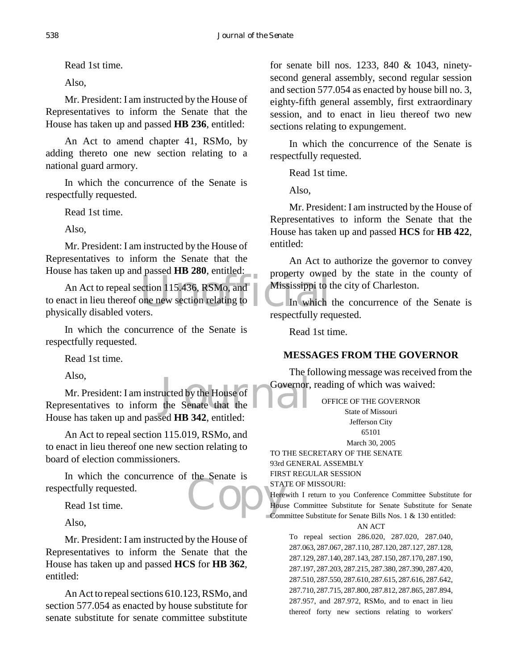Read 1st time.

Also,

Mr. President: I am instructed by the House of Representatives to inform the Senate that the House has taken up and passed **HB 236**, entitled:

An Act to amend chapter 41, RSMo, by adding thereto one new section relating to a national guard armory.

In which the concurrence of the Senate is respectfully requested.

Read 1st time.

Also,

Mr. President: I am instructed by the House of Representatives to inform the Senate that the House has taken up and passed **HB 280**, entitled:

property owners<br>
ection 115.436, RSMo, and<br>
one new section relating to<br>
Figures An Act to repeal section 115.436, RSMo, and to enact in lieu thereof one new section relating to physically disabled voters.

In which the concurrence of the Senate is respectfully requested.

Read 1st time.

Also,

Also,<br>
Mr. President: I am instructed by the House of<br>
Representatives to inform the Senate that the Mr. President: I am instructed by the House of House has taken up and passed **HB 342**, entitled:

An Act to repeal section 115.019, RSMo, and to enact in lieu thereof one new section relating to board of election commissioners.

Example 3 STAY<br>Thousand House In which the concurrence of the Senate is respectfully requested.

Read 1st time.

Also,

Mr. President: I am instructed by the House of Representatives to inform the Senate that the House has taken up and passed **HCS** for **HB 362**, entitled:

An Act to repeal sections 610.123, RSMo, and section 577.054 as enacted by house substitute for senate substitute for senate committee substitute for senate bill nos. 1233, 840 & 1043, ninetysecond general assembly, second regular session and section 577.054 as enacted by house bill no. 3, eighty-fifth general assembly, first extraordinary session, and to enact in lieu thereof two new sections relating to expungement.

In which the concurrence of the Senate is respectfully requested.

Read 1st time.

Also,

Mr. President: I am instructed by the House of Representatives to inform the Senate that the House has taken up and passed **HCS** for **HB 422**, entitled:

An Act to authorize the governor to convey property owned by the state in the county of Mississippi to the city of Charleston.

In which the concurrence of the Senate is respectfully requested.

Read 1st time.

# **MESSAGES FROM THE GOVERNOR**

The following message was received from the Governor, reading of which was waived:

> OFFICE OF THE GOVERNOR State of Missouri Jefferson City 65101

March 30, 2005

TO THE SECRETARY OF THE SENATE 93rd GENERAL ASSEMBLY FIRST REGULAR SESSION STATE OF MISSOURI:

Herewith I return to you Conference Committee Substitute for House Committee Substitute for Senate Substitute for Senate Committee Substitute for Senate Bills Nos. 1 & 130 entitled:

### AN ACT

To repeal section 286.020, 287.020, 287.040, 287.063, 287.067, 287.110, 287.120, 287.127, 287.128, 287.129, 287.140, 287.143, 287.150, 287.170, 287.190, 287.197, 287.203, 287.215, 287.380, 287.390, 287.420, 287.510, 287.550, 287.610, 287.615, 287.616, 287.642, 287.710, 287.715, 287.800, 287.812, 287.865, 287.894, 287.957, and 287.972, RSMo, and to enact in lieu thereof forty new sections relating to workers'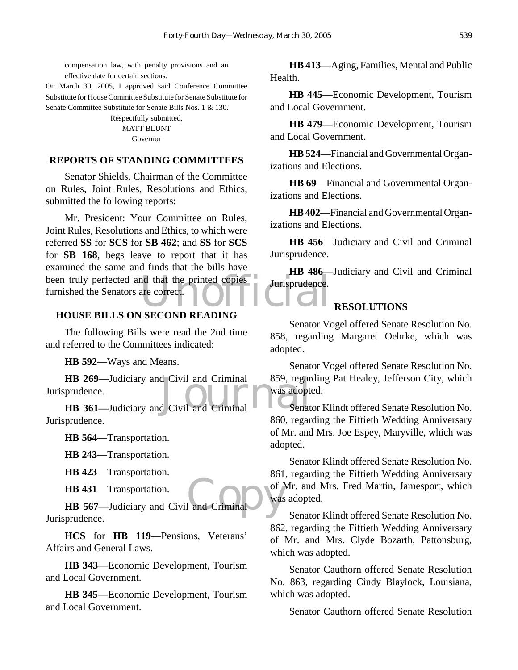compensation law, with penalty provisions and an effective date for certain sections.

On March 30, 2005, I approved said Conference Committee Substitute for House Committee Substitute for Senate Substitute for Senate Committee Substitute for Senate Bills Nos. 1 & 130.

> Respectfully submitted, **MATT BLUNT** Governor

### **REPORTS OF STANDING COMMITTEES**

Senator Shields, Chairman of the Committee on Rules, Joint Rules, Resolutions and Ethics, submitted the following reports:

been truly perfected and that the printed copies<br>
furnished the Senators are correct. Mr. President: Your Committee on Rules, Joint Rules, Resolutions and Ethics, to which were referred **SS** for **SCS** for **SB 462**; and **SS** for **SCS** for **SB 168**, begs leave to report that it has examined the same and finds that the bills have furnished the Senators are correct.

### **HOUSE BILLS ON SECOND READING**

The following Bills were read the 2nd time and referred to the Committees indicated:

**HB 592**—Ways and Means.

**HB 269**—Judiciary and Civil and Criminal 859, regar<br> **HB 361**—Judiciary and Civil and Criminal Senat **HB 269**—Judiciary and Civil and Criminal Jurisprudence.

Jurisprudence.

**HB 564**—Transportation.

**HB 243**—Transportation.

**HB 423**—Transportation.

**HB 431**—Transportation.

**HB 431**—Transportation.<br> **HB 567**—Judiciary and Civil and Criminal Jurisprudence.

**HCS** for **HB 119**—Pensions, Veterans' Affairs and General Laws.

**HB 343**—Economic Development, Tourism and Local Government.

**HB 345**—Economic Development, Tourism and Local Government.

**HB 413**—Aging, Families, Mental and Public Health.

**HB 445**—Economic Development, Tourism and Local Government.

**HB 479**—Economic Development, Tourism and Local Government.

**HB 524**—Financial and Governmental Organizations and Elections.

**HB 69**—Financial and Governmental Organizations and Elections.

**HB 402**—Financial and Governmental Organizations and Elections.

**HB 456**—Judiciary and Civil and Criminal Jurisprudence.

**HB 486**—Judiciary and Civil and Criminal Jurisprudence.

# **RESOLUTIONS**

Senator Vogel offered Senate Resolution No. 858, regarding Margaret Oehrke, which was adopted.

Senator Vogel offered Senate Resolution No. 859, regarding Pat Healey, Jefferson City, which was adopted.

Senator Klindt offered Senate Resolution No. 860, regarding the Fiftieth Wedding Anniversary of Mr. and Mrs. Joe Espey, Maryville, which was adopted.

Senator Klindt offered Senate Resolution No. 861, regarding the Fiftieth Wedding Anniversary of Mr. and Mrs. Fred Martin, Jamesport, which was adopted.

Senator Klindt offered Senate Resolution No. 862, regarding the Fiftieth Wedding Anniversary of Mr. and Mrs. Clyde Bozarth, Pattonsburg, which was adopted.

Senator Cauthorn offered Senate Resolution No. 863, regarding Cindy Blaylock, Louisiana, which was adopted.

Senator Cauthorn offered Senate Resolution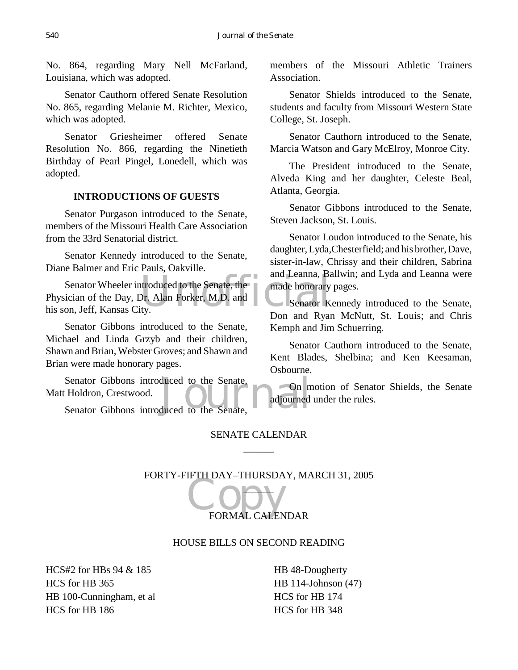No. 864, regarding Mary Nell McFarland, Louisiana, which was adopted.

Senator Cauthorn offered Senate Resolution No. 865, regarding Melanie M. Richter, Mexico, which was adopted.

Senator Griesheimer offered Senate Resolution No. 866, regarding the Ninetieth Birthday of Pearl Pingel, Lonedell, which was adopted.

# **INTRODUCTIONS OF GUESTS**

Senator Purgason introduced to the Senate, members of the Missouri Health Care Association from the 33rd Senatorial district.

Senator Kennedy introduced to the Senate, Diane Balmer and Eric Pauls, Oakville.

and Leanna, Batroduced to the Senate, the made honorary<br>Dr. Alan Forker, M.D. and Senator K<br>Ly. Senator Wheeler introduced to the Senate, the Physician of the Day, Dr. Alan Forker, M.D. and his son, Jeff, Kansas City.

Senator Gibbons introduced to the Senate, Michael and Linda Grzyb and their children, Shawn and Brian, Webster Groves; and Shawn and Brian were made honorary pages.

Senator Gibbons introduced to the Senate, On m<br>
Holdron, Crestwood.<br>
Senator Gibbons introduced to the Senate, and adjourned Senator Gibbons introduced to the Senate, Matt Holdron, Crestwood.

members of the Missouri Athletic Trainers Association.

Senator Shields introduced to the Senate, students and faculty from Missouri Western State College, St. Joseph.

Senator Cauthorn introduced to the Senate, Marcia Watson and Gary McElroy, Monroe City.

The President introduced to the Senate, Alveda King and her daughter, Celeste Beal, Atlanta, Georgia.

Senator Gibbons introduced to the Senate, Steven Jackson, St. Louis.

Senator Loudon introduced to the Senate, his daughter, Lyda,Chesterfield; and his brother, Dave, sister-in-law, Chrissy and their children, Sabrina and Leanna, Ballwin; and Lyda and Leanna were made honorary pages.

Senator Kennedy introduced to the Senate, Don and Ryan McNutt, St. Louis; and Chris Kemph and Jim Schuerring.

Senator Cauthorn introduced to the Senate, Kent Blades, Shelbina; and Ken Keesaman, Osbourne.

On motion of Senator Shields, the Senate adjourned under the rules.

# SENATE CALENDAR  $\overline{\phantom{a}}$

FORTY-FIFTH DAY–THURSDAY, MARCH 31, 2005

FORMAL CALENDAR  $\overline{\phantom{a}}$ 

# HOUSE BILLS ON SECOND READING

HCS#2 for HBs 94 & 185 HCS for HB 365 HB 100-Cunningham, et al HCS for HB 186

HB 48-Dougherty HB 114-Johnson (47) HCS for HB 174 HCS for HB 348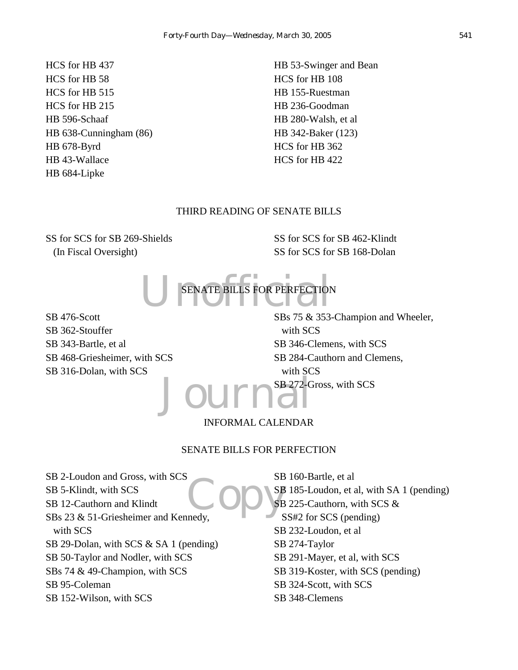HCS for HB 437 HCS for HB 58 HCS for HB 515 HCS for HB 215 HB 596-Schaaf HB 638-Cunningham (86) HB 678-Byrd HB 43-Wallace HB 684-Lipke

HB 53-Swinger and Bean HCS for HB 108 HB 155-Ruestman HB 236-Goodman HB 280-Walsh, et al HB 342-Baker (123) HCS for HB 362 HCS for HB 422

### THIRD READING OF SENATE BILLS

SS for SCS for SB 269-Shields (In Fiscal Oversight)

SS for SCS for SB 462-Klindt SS for SCS for SB 168-Dolan

U SENATE BILLS FOR PERFECTION SENATE BILLS FOR PERFECTION

SB 476-Scott SB 362-Stouffer SB 343-Bartle, et al SB 468-Griesheimer, with SCS SB 316-Dolan, with SCS

Journa<sup>SB272-C</sup> SBs 75 & 353-Champion and Wheeler, with SCS SB 346-Clemens, with SCS SB 284-Cauthorn and Clemens, with SCS SB 272-Gross, with SCS

# INFORMAL CALENDAR

### SENATE BILLS FOR PERFECTION

Copyse SB 2-Loudon and Gross, with SCS SB 5-Klindt, with SCS SB 12-Cauthorn and Klindt SBs 23 & 51-Griesheimer and Kennedy, with SCS SB 29-Dolan, with SCS & SA 1 (pending) SB 50-Taylor and Nodler, with SCS SBs 74 & 49-Champion, with SCS SB 95-Coleman SB 152-Wilson, with SCS

SB 160-Bartle, et al SB 185-Loudon, et al, with SA 1 (pending) SB 225-Cauthorn, with SCS & SS#2 for SCS (pending) SB 232-Loudon, et al SB 274-Taylor SB 291-Mayer, et al, with SCS SB 319-Koster, with SCS (pending) SB 324-Scott, with SCS SB 348-Clemens